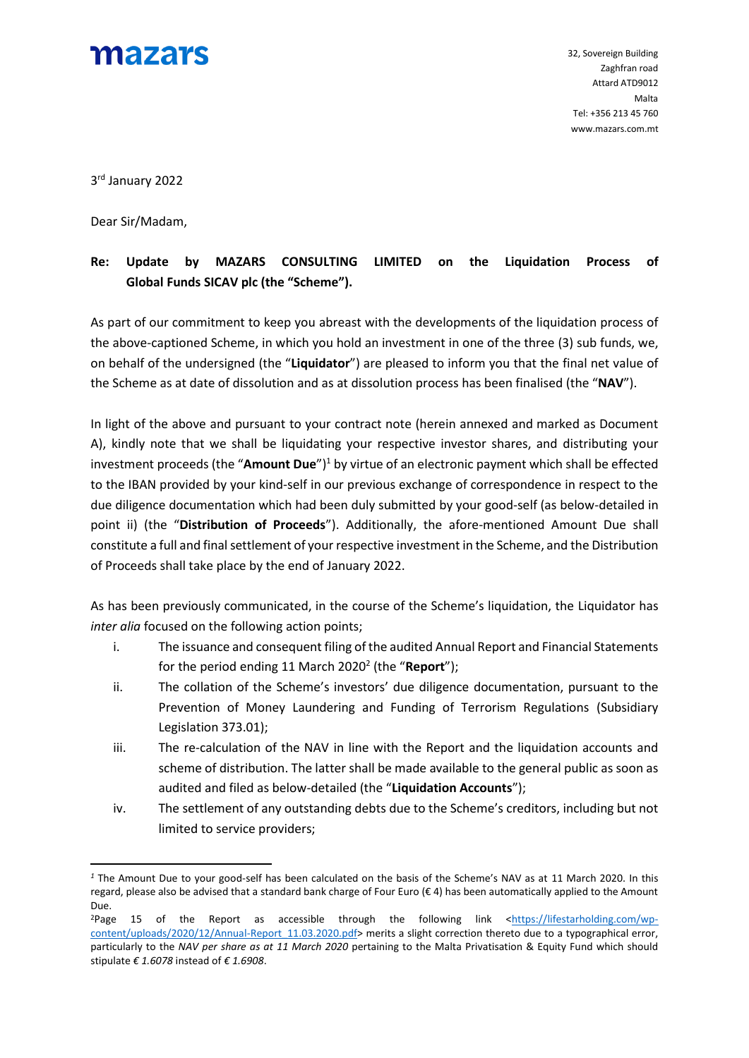

3 rd January 2022

Dear Sir/Madam,

1

## **Re: Update by MAZARS CONSULTING LIMITED on the Liquidation Process of Global Funds SICAV plc (the "Scheme").**

As part of our commitment to keep you abreast with the developments of the liquidation process of the above-captioned Scheme, in which you hold an investment in one of the three (3) sub funds, we, on behalf of the undersigned (the "**Liquidator**") are pleased to inform you that the final net value of the Scheme as at date of dissolution and as at dissolution process has been finalised (the "**NAV**").

In light of the above and pursuant to your contract note (herein annexed and marked as Document A), kindly note that we shall be liquidating your respective investor shares, and distributing your investment proceeds (the "**Amount Due**")<sup>1</sup> by virtue of an electronic payment which shall be effected to the IBAN provided by your kind-self in our previous exchange of correspondence in respect to the due diligence documentation which had been duly submitted by your good-self (as below-detailed in point ii) (the "**Distribution of Proceeds**"). Additionally, the afore-mentioned Amount Due shall constitute a full and final settlement of your respective investment in the Scheme, and the Distribution of Proceeds shall take place by the end of January 2022.

As has been previously communicated, in the course of the Scheme's liquidation, the Liquidator has *inter alia* focused on the following action points;

- i. The issuance and consequent filing of the audited Annual Report and Financial Statements for the period ending 11 March 2020<sup>2</sup> (the "Report");
- ii. The collation of the Scheme's investors' due diligence documentation, pursuant to the Prevention of Money Laundering and Funding of Terrorism Regulations (Subsidiary Legislation 373.01);
- iii. The re-calculation of the NAV in line with the Report and the liquidation accounts and scheme of distribution. The latter shall be made available to the general public as soon as audited and filed as below-detailed (the "**Liquidation Accounts**");
- iv. The settlement of any outstanding debts due to the Scheme's creditors, including but not limited to service providers;

*<sup>1</sup>* The Amount Due to your good-self has been calculated on the basis of the Scheme's NAV as at 11 March 2020. In this regard, please also be advised that a standard bank charge of Four Euro ( $\epsilon$  4) has been automatically applied to the Amount Due.

<sup>&</sup>lt;sup>2</sup>Page 15 of the Report as accessible through the following link [<https://lifestarholding.com/wp](https://lifestarholding.com/wp-content/uploads/2020/12/Annual-Report_11.03.2020.pdf)[content/uploads/2020/12/Annual-Report\\_11.03.2020.pdf>](https://lifestarholding.com/wp-content/uploads/2020/12/Annual-Report_11.03.2020.pdf) merits a slight correction thereto due to a typographical error, particularly to the *NAV per share as at 11 March 2020* pertaining to the Malta Privatisation & Equity Fund which should stipulate *€ 1.6078* instead of *€ 1.6908*.